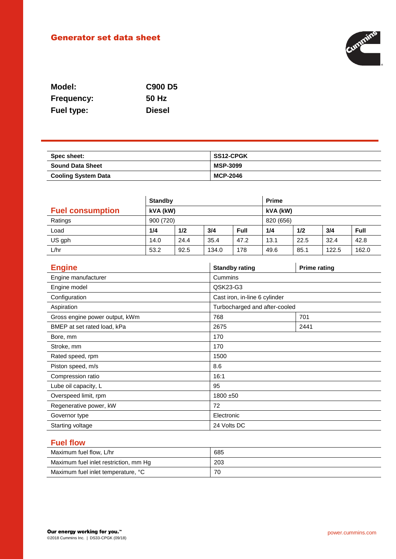# Generator set data sheet



| Model:            | <b>C900 D5</b> |
|-------------------|----------------|
| <b>Frequency:</b> | 50 Hz          |
| <b>Fuel type:</b> | <b>Diesel</b>  |

| Spec sheet:                | SS12-CPGK       |
|----------------------------|-----------------|
| <b>Sound Data Sheet</b>    | <b>MSP-3099</b> |
| <b>Cooling System Data</b> | MCP-2046        |

|                         | <b>Standby</b>            |      |       | <b>Prime</b> |      |      |       |       |
|-------------------------|---------------------------|------|-------|--------------|------|------|-------|-------|
| <b>Fuel consumption</b> | kVA (kW)                  |      |       | kVA (kW)     |      |      |       |       |
| Ratings                 | 900 (720)                 |      |       | 820 (656)    |      |      |       |       |
| Load                    | 1/2<br>1/4<br>3/4<br>Full |      | 1/4   | 1/2          | 3/4  | Full |       |       |
| US gph                  | 14.0                      | 24.4 | 35.4  | 47.2         | 13.1 | 22.5 | 32.4  | 42.8  |
| L/hr                    | 53.2                      | 92.5 | 134.0 | 178          | 49.6 | 85.1 | 122.5 | 162.0 |

| <b>Engine</b>                  | <b>Standby rating</b>         | <b>Prime rating</b> |  |  |
|--------------------------------|-------------------------------|---------------------|--|--|
| Engine manufacturer            | Cummins                       |                     |  |  |
| Engine model                   | QSK23-G3                      |                     |  |  |
| Configuration                  | Cast iron, in-line 6 cylinder |                     |  |  |
| Aspiration                     | Turbocharged and after-cooled |                     |  |  |
| Gross engine power output, kWm | 768                           | 701                 |  |  |
| BMEP at set rated load, kPa    | 2675                          | 2441                |  |  |
| Bore, mm                       | 170                           |                     |  |  |
| Stroke, mm                     | 170                           |                     |  |  |
| Rated speed, rpm               | 1500                          |                     |  |  |
| Piston speed, m/s              | 8.6                           |                     |  |  |
| Compression ratio              | 16:1                          |                     |  |  |
| Lube oil capacity, L           | 95                            |                     |  |  |
| Overspeed limit, rpm           | $1800 + 50$                   |                     |  |  |
| Regenerative power, kW         | 72                            |                     |  |  |
| Governor type                  | Electronic                    |                     |  |  |
| Starting voltage               | 24 Volts DC                   |                     |  |  |

# **Fuel flow**

| Maximum fuel flow, L/hr               | 685 |
|---------------------------------------|-----|
| Maximum fuel inlet restriction, mm Hg | 203 |
| Maximum fuel inlet temperature, °C    | 70  |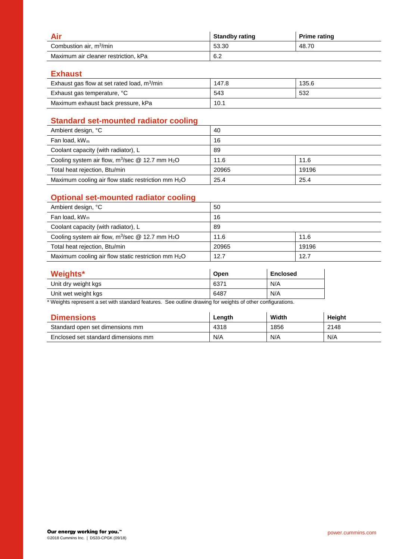|                                      | <b>Standby rating</b> | <b>Prime rating</b> |
|--------------------------------------|-----------------------|---------------------|
| Combustion air, m <sup>3</sup> /min  | 53.30                 | 48.70               |
| Maximum air cleaner restriction, kPa | 6.2                   |                     |

#### **Exhaust**

| Exhaust gas flow at set rated load, $m^3/m$ in | 147.8 | 135.6 |
|------------------------------------------------|-------|-------|
| Exhaust gas temperature, °C                    | 543   | 532   |
| Maximum exhaust back pressure, kPa             | 10.1  |       |

## **Standard set-mounted radiator cooling**

| Ambient design, °C                                             | 40    |       |
|----------------------------------------------------------------|-------|-------|
| Fan load, $kW_m$                                               | 16    |       |
| Coolant capacity (with radiator), L                            | 89    |       |
| Cooling system air flow, $m^3$ /sec @ 12.7 mm H <sub>2</sub> O | 11.6  | 11.6  |
| Total heat rejection, Btu/min                                  | 20965 | 19196 |
| Maximum cooling air flow static restriction mm $H_2O$          | 25.4  | 25.4  |

# **Optional set-mounted radiator cooling**

| Ambient design, °C                                             | 50    |       |
|----------------------------------------------------------------|-------|-------|
| Fan load, $kW_m$                                               | 16    |       |
| Coolant capacity (with radiator), L                            | 89    |       |
| Cooling system air flow, $m^3$ /sec @ 12.7 mm H <sub>2</sub> O | 11.6  | 11.6  |
| Total heat rejection, Btu/min                                  | 20965 | 19196 |
| Maximum cooling air flow static restriction mm $H_2O$          | 12.7  | 12.7  |

| Weights*            | Open | <b>Enclosed</b> |
|---------------------|------|-----------------|
| Unit dry weight kgs | 6371 | N/A             |
| Unit wet weight kgs | 6487 | N/A             |

\* Weights represent a set with standard features. See outline drawing for weights of other configurations.

| <b>Dimensions</b>                   | Length | Width | Height |
|-------------------------------------|--------|-------|--------|
| Standard open set dimensions mm     | 4318   | 1856  | 2148   |
| Enclosed set standard dimensions mm | N/A    | N/A   | N/A    |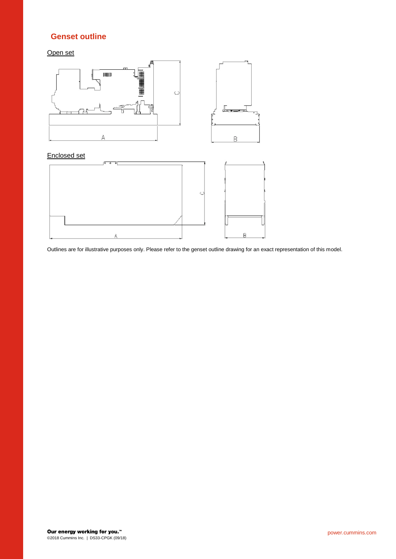### **Genset outline**

Open set





Outlines are for illustrative purposes only. Please refer to the genset outline drawing for an exact representation of this model.